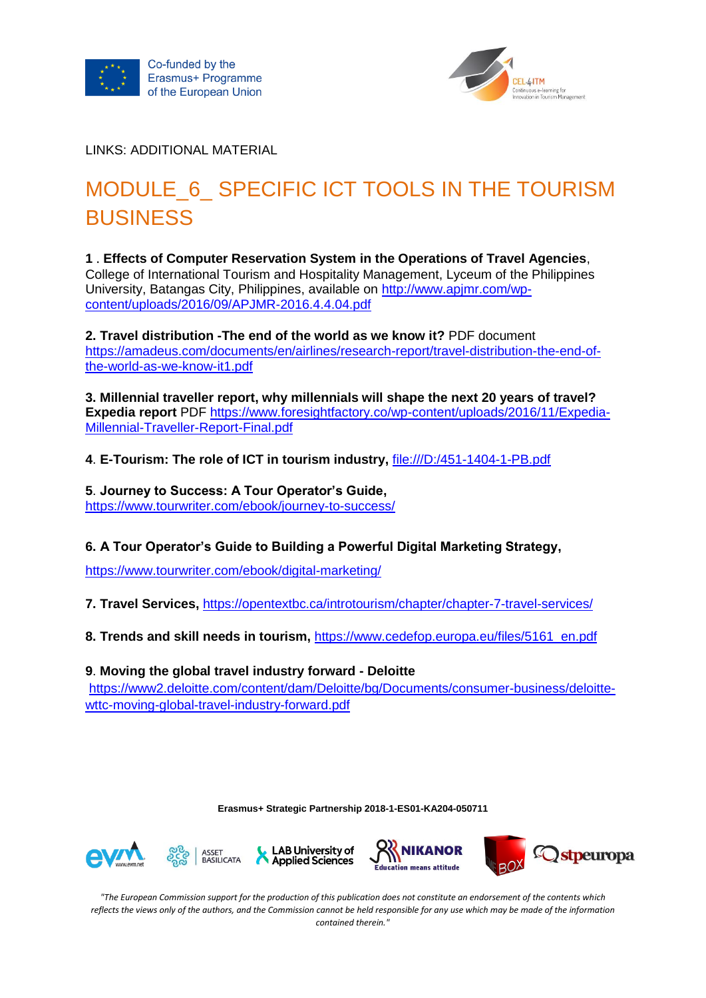



LINKS: ADDITIONAL MATERIAL

## MODULE 6 SPECIFIC ICT TOOLS IN THE TOURISM **BUSINESS**

**1** . **Effects of Computer Reservation System in the Operations of Travel Agencies**, College of International Tourism and Hospitality Management, Lyceum of the Philippines University, Batangas City, Philippines, available on [http://www.apjmr.com/wp](http://www.apjmr.com/wp-content/uploads/2016/09/APJMR-2016.4.4.04.pdf)[content/uploads/2016/09/APJMR-2016.4.4.04.pdf](http://www.apjmr.com/wp-content/uploads/2016/09/APJMR-2016.4.4.04.pdf)

**2. Travel distribution -The end of the world as we know it?** PDF document

[https://amadeus.com/documents/en/airlines/research-report/travel-distribution-the-end-of](https://amadeus.com/documents/en/airlines/research-report/travel-distribution-the-end-of-the-world-as-we-know-it1.pdf)[the-world-as-we-know-it1.pdf](https://amadeus.com/documents/en/airlines/research-report/travel-distribution-the-end-of-the-world-as-we-know-it1.pdf)

**3. Millennial traveller report, why millennials will shape the next 20 years of travel? Expedia report** PDF [https://www.foresightfactory.co/wp-content/uploads/2016/11/Expedia-](https://www.foresightfactory.co/wp-content/uploads/2016/11/Expedia-Millennial-Traveller-Report-Final.pdf)[Millennial-Traveller-Report-Final.pdf](https://www.foresightfactory.co/wp-content/uploads/2016/11/Expedia-Millennial-Traveller-Report-Final.pdf)

**4**. **E-Tourism: The role of ICT in tourism industry,** <file:///D:/451-1404-1-PB.pdf>

**5**. **Journey to Success: A Tour Operator's Guide,**  <https://www.tourwriter.com/ebook/journey-to-success/>

## **6. [A Tour Operator's Guide to Building a Powerful Digital Marketing Strategy,](https://www.tourwriter.com/ebook/digital-marketing/)**

<https://www.tourwriter.com/ebook/digital-marketing/>

**7. Travel Services,** <https://opentextbc.ca/introtourism/chapter/chapter-7-travel-services/>

**8. Trends and skill needs in tourism,** [https://www.cedefop.europa.eu/files/5161\\_en.pdf](https://www.cedefop.europa.eu/files/5161_en.pdf)

**9**. **[Moving the global travel industry forward -](https://www2.deloitte.com/content/dam/Deloitte/bg/Documents/consumer-business/deloitte-wttc-moving-global-travel-industry-forward.pdf) Deloitte** [https://www2.deloitte.com/content/dam/Deloitte/bg/Documents/consumer-business/deloitte](https://www2.deloitte.com/content/dam/Deloitte/bg/Documents/consumer-business/deloitte-wttc-moving-global-travel-industry-forward.pdf)[wttc-moving-global-travel-industry-forward.pdf](https://www2.deloitte.com/content/dam/Deloitte/bg/Documents/consumer-business/deloitte-wttc-moving-global-travel-industry-forward.pdf)

**Erasmus+ Strategic Partnership 2018-1-ES01-KA204-050711**











*"The European Commission support for the production of this publication does not constitute an endorsement of the contents which reflects the views only of the authors, and the Commission cannot be held responsible for any use which may be made of the information contained therein."*